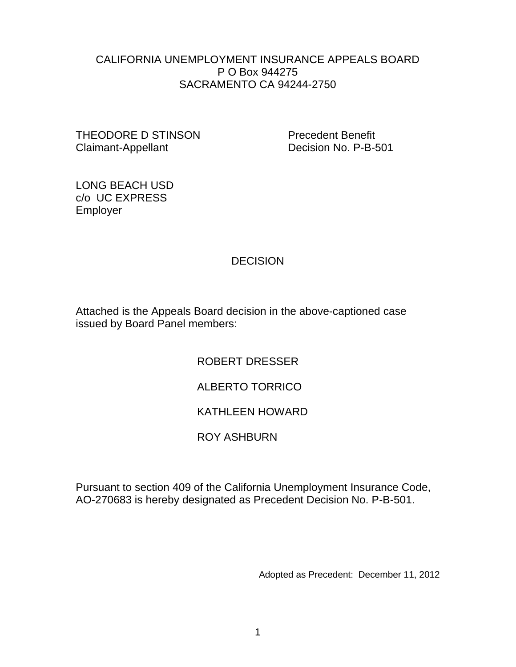### CALIFORNIA UNEMPLOYMENT INSURANCE APPEALS BOARD P O Box 944275 SACRAMENTO CA 94244-2750

THEODORE D STINSON Precedent Benefit Claimant-Appellant Decision No. P-B-501

LONG BEACH USD c/o UC EXPRESS Employer

## DECISION

Attached is the Appeals Board decision in the above-captioned case issued by Board Panel members:

ROBERT DRESSER

# ALBERTO TORRICO

# KATHLEEN HOWARD

## ROY ASHBURN

Pursuant to section 409 of the California Unemployment Insurance Code, AO-270683 is hereby designated as Precedent Decision No. P-B-501.

Adopted as Precedent: December 11, 2012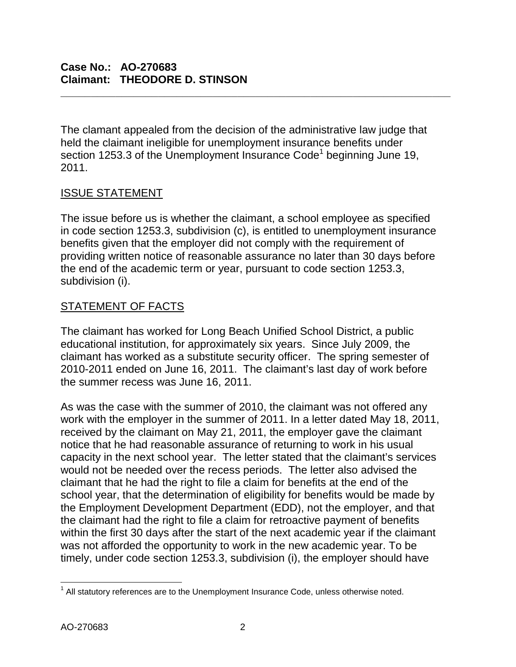The clamant appealed from the decision of the administrative law judge that held the claimant ineligible for unemployment insurance benefits under section 1253.3 of the Unemployment Insurance  $Code<sup>1</sup>$  beginning June 19, 2011.

**\_\_\_\_\_\_\_\_\_\_\_\_\_\_\_\_\_\_\_\_\_\_\_\_\_\_\_\_\_\_\_\_\_\_\_\_\_\_\_\_\_\_\_\_\_\_\_\_\_\_\_\_\_\_\_\_\_\_\_\_\_\_\_\_**

## ISSUE STATEMENT

The issue before us is whether the claimant, a school employee as specified in code section 1253.3, subdivision (c), is entitled to unemployment insurance benefits given that the employer did not comply with the requirement of providing written notice of reasonable assurance no later than 30 days before the end of the academic term or year, pursuant to code section 1253.3, subdivision (i).

## STATEMENT OF FACTS

The claimant has worked for Long Beach Unified School District, a public educational institution, for approximately six years. Since July 2009, the claimant has worked as a substitute security officer. The spring semester of 2010-2011 ended on June 16, 2011. The claimant's last day of work before the summer recess was June 16, 2011.

As was the case with the summer of 2010, the claimant was not offered any work with the employer in the summer of 2011. In a letter dated May 18, 2011, received by the claimant on May 21, 2011, the employer gave the claimant notice that he had reasonable assurance of returning to work in his usual capacity in the next school year. The letter stated that the claimant's services would not be needed over the recess periods. The letter also advised the claimant that he had the right to file a claim for benefits at the end of the school year, that the determination of eligibility for benefits would be made by the Employment Development Department (EDD), not the employer, and that the claimant had the right to file a claim for retroactive payment of benefits within the first 30 days after the start of the next academic year if the claimant was not afforded the opportunity to work in the new academic year. To be timely, under code section 1253.3, subdivision (i), the employer should have

 $1$  All statutory references are to the Unemployment Insurance Code, unless otherwise noted.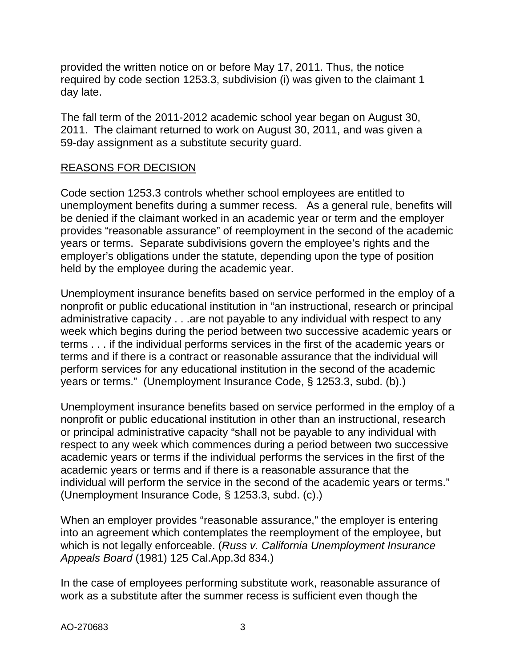provided the written notice on or before May 17, 2011. Thus, the notice required by code section 1253.3, subdivision (i) was given to the claimant 1 day late.

The fall term of the 2011-2012 academic school year began on August 30, 2011. The claimant returned to work on August 30, 2011, and was given a 59-day assignment as a substitute security guard.

### REASONS FOR DECISION

Code section 1253.3 controls whether school employees are entitled to unemployment benefits during a summer recess. As a general rule, benefits will be denied if the claimant worked in an academic year or term and the employer provides "reasonable assurance" of reemployment in the second of the academic years or terms. Separate subdivisions govern the employee's rights and the employer's obligations under the statute, depending upon the type of position held by the employee during the academic year.

Unemployment insurance benefits based on service performed in the employ of a nonprofit or public educational institution in "an instructional, research or principal administrative capacity . . .are not payable to any individual with respect to any week which begins during the period between two successive academic years or terms . . . if the individual performs services in the first of the academic years or terms and if there is a contract or reasonable assurance that the individual will perform services for any educational institution in the second of the academic years or terms." (Unemployment Insurance Code, § 1253.3, subd. (b).)

Unemployment insurance benefits based on service performed in the employ of a nonprofit or public educational institution in other than an instructional, research or principal administrative capacity "shall not be payable to any individual with respect to any week which commences during a period between two successive academic years or terms if the individual performs the services in the first of the academic years or terms and if there is a reasonable assurance that the individual will perform the service in the second of the academic years or terms." (Unemployment Insurance Code, § 1253.3, subd. (c).)

When an employer provides "reasonable assurance," the employer is entering into an agreement which contemplates the reemployment of the employee, but which is not legally enforceable. (*Russ v. California Unemployment Insurance Appeals Board* (1981) 125 Cal.App.3d 834.)

In the case of employees performing substitute work, reasonable assurance of work as a substitute after the summer recess is sufficient even though the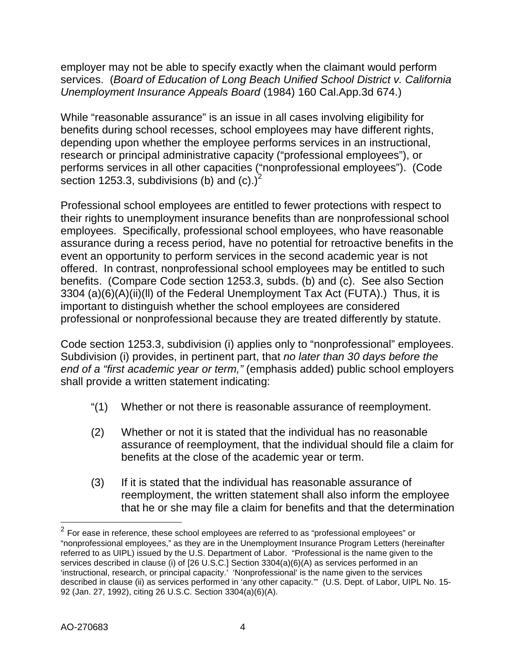employer may not be able to specify exactly when the claimant would perform services. (*Board of Education of Long Beach Unified School District v. California Unemployment Insurance Appeals Board* (1984) 160 Cal.App.3d 674.)

While "reasonable assurance" is an issue in all cases involving eligibility for benefits during school recesses, school employees may have different rights, depending upon whether the employee performs services in an instructional, research or principal administrative capacity ("professional employees"), or performs services in all other capacities ("nonprofessional employees"). (Code section 1253.3, subdivisions (b) and (c).)<sup>2</sup>

Professional school employees are entitled to fewer protections with respect to their rights to unemployment insurance benefits than are nonprofessional school employees. Specifically, professional school employees, who have reasonable assurance during a recess period, have no potential for retroactive benefits in the event an opportunity to perform services in the second academic year is not offered. In contrast, nonprofessional school employees may be entitled to such benefits. (Compare Code section 1253.3, subds. (b) and (c). See also Section 3304 (a)(6)(A)(ii)(ll) of the Federal Unemployment Tax Act (FUTA).) Thus, it is important to distinguish whether the school employees are considered professional or nonprofessional because they are treated differently by statute.

Code section 1253.3, subdivision (i) applies only to "nonprofessional" employees. Subdivision (i) provides, in pertinent part, that *no later than 30 days before the end of a "first academic year or term,"* (emphasis added) public school employers shall provide a written statement indicating:

- "(1) Whether or not there is reasonable assurance of reemployment.
- (2) Whether or not it is stated that the individual has no reasonable assurance of reemployment, that the individual should file a claim for benefits at the close of the academic year or term.
- (3) If it is stated that the individual has reasonable assurance of reemployment, the written statement shall also inform the employee that he or she may file a claim for benefits and that the determination

 $2$  For ease in reference, these school employees are referred to as "professional employees" or "nonprofessional employees," as they are in the Unemployment Insurance Program Letters (hereinafter referred to as UIPL) issued by the U.S. Department of Labor. "Professional is the name given to the services described in clause (i) of [26 U.S.C.] Section 3304(a)(6)(A) as services performed in an 'instructional, research, or principal capacity.' 'Nonprofessional' is the name given to the services described in clause (ii) as services performed in 'any other capacity.'" (U.S. Dept. of Labor, UIPL No. 15- 92 (Jan. 27, 1992), citing 26 U.S.C. Section 3304(a)(6)(A).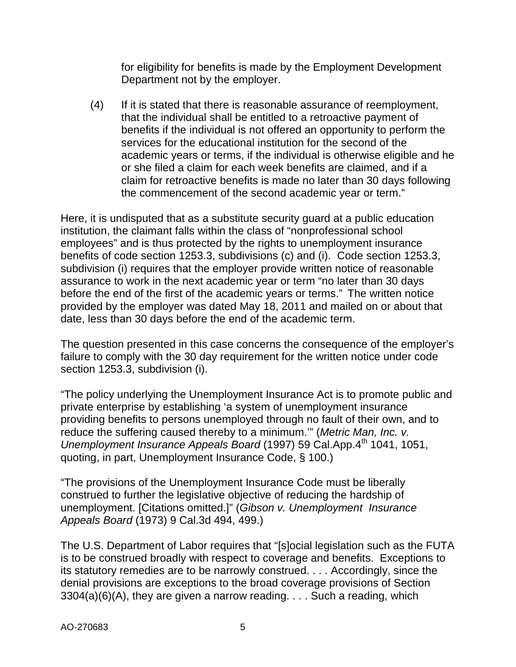for eligibility for benefits is made by the Employment Development Department not by the employer.

(4) If it is stated that there is reasonable assurance of reemployment, that the individual shall be entitled to a retroactive payment of benefits if the individual is not offered an opportunity to perform the services for the educational institution for the second of the academic years or terms, if the individual is otherwise eligible and he or she filed a claim for each week benefits are claimed, and if a claim for retroactive benefits is made no later than 30 days following the commencement of the second academic year or term."

Here, it is undisputed that as a substitute security guard at a public education institution, the claimant falls within the class of "nonprofessional school employees" and is thus protected by the rights to unemployment insurance benefits of code section 1253.3, subdivisions (c) and (i). Code section 1253.3, subdivision (i) requires that the employer provide written notice of reasonable assurance to work in the next academic year or term "no later than 30 days before the end of the first of the academic years or terms." The written notice provided by the employer was dated May 18, 2011 and mailed on or about that date, less than 30 days before the end of the academic term.

The question presented in this case concerns the consequence of the employer's failure to comply with the 30 day requirement for the written notice under code section 1253.3, subdivision (i).

"The policy underlying the Unemployment Insurance Act is to promote public and private enterprise by establishing 'a system of unemployment insurance providing benefits to persons unemployed through no fault of their own, and to reduce the suffering caused thereby to a minimum.'" (*Metric Man, Inc. v. Unemployment Insurance Appeals Board* (1997) 59 Cal.App.4<sup>th</sup> 1041, 1051, quoting, in part, Unemployment Insurance Code, § 100.)

"The provisions of the Unemployment Insurance Code must be liberally construed to further the legislative objective of reducing the hardship of unemployment. [Citations omitted.]" (*Gibson v. Unemployment Insurance Appeals Board* (1973) 9 Cal.3d 494, 499.)

The U.S. Department of Labor requires that "[s]ocial legislation such as the FUTA is to be construed broadly with respect to coverage and benefits. Exceptions to its statutory remedies are to be narrowly construed. . . . Accordingly, since the denial provisions are exceptions to the broad coverage provisions of Section  $3304(a)(6)(A)$ , they are given a narrow reading. . . . Such a reading, which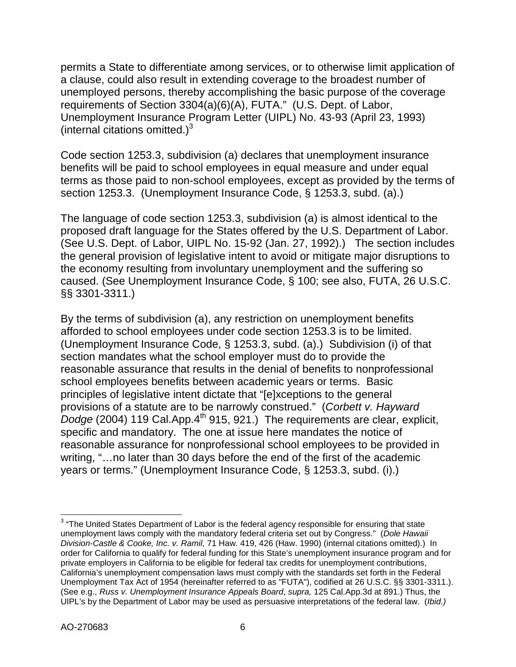permits a State to differentiate among services, or to otherwise limit application of a clause, could also result in extending coverage to the broadest number of unemployed persons, thereby accomplishing the basic purpose of the coverage requirements of Section 3304(a)(6)(A), FUTA." (U.S. Dept. of Labor, Unemployment Insurance Program Letter (UIPL) No. 43-93 (April 23, 1993) (internal citations omitted.) $3$ 

Code section 1253.3, subdivision (a) declares that unemployment insurance benefits will be paid to school employees in equal measure and under equal terms as those paid to non-school employees, except as provided by the terms of section 1253.3. (Unemployment Insurance Code, § 1253.3, subd. (a).)

The language of code section 1253.3, subdivision (a) is almost identical to the proposed draft language for the States offered by the U.S. Department of Labor. (See U.S. Dept. of Labor, UIPL No. 15-92 (Jan. 27, 1992).) The section includes the general provision of legislative intent to avoid or mitigate major disruptions to the economy resulting from involuntary unemployment and the suffering so caused. (See Unemployment Insurance Code, § 100; see also, FUTA, 26 U.S.C. §§ 3301-3311.)

By the terms of subdivision (a), any restriction on unemployment benefits afforded to school employees under code section 1253.3 is to be limited. (Unemployment Insurance Code, § 1253.3, subd. (a).) Subdivision (i) of that section mandates what the school employer must do to provide the reasonable assurance that results in the denial of benefits to nonprofessional school employees benefits between academic years or terms. Basic principles of legislative intent dictate that "[e]xceptions to the general provisions of a statute are to be narrowly construed." (*Corbett v. Hayward Dodge* (2004) 119 Cal.App.4<sup>th</sup> 915, 921.) The requirements are clear, explicit, specific and mandatory. The one at issue here mandates the notice of reasonable assurance for nonprofessional school employees to be provided in writing, "…no later than 30 days before the end of the first of the academic years or terms." (Unemployment Insurance Code, § 1253.3, subd. (i).)

<sup>&</sup>lt;sup>3</sup> "The United States Department of Labor is the federal agency responsible for ensuring that state unemployment laws comply with the mandatory federal criteria set out by Congress." (*Dole Hawaii Division-Castle & Cooke, Inc. v. Ramil*, 71 Haw. 419, 426 (Haw. 1990) (internal citations omitted).) In order for California to qualify for federal funding for this State's unemployment insurance program and for private employers in California to be eligible for federal tax credits for unemployment contributions, California's unemployment compensation laws must comply with the standards set forth in the Federal Unemployment Tax Act of 1954 (hereinafter referred to as "FUTA"), codified at 26 U.S.C. §§ 3301-3311.). (See e.g., *Russ v. Unemployment Insurance Appeals Board*, *supra,* 125 Cal.App.3d at 891.) Thus, the UIPL's by the Department of Labor may be used as persuasive interpretations of the federal law. (*Ibid.)*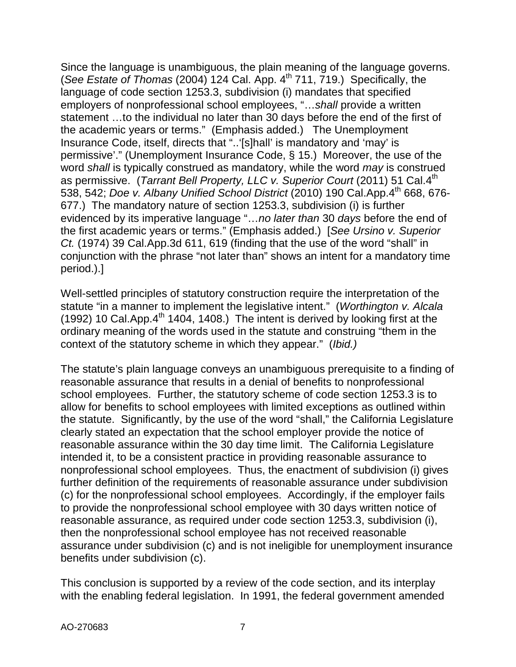Since the language is unambiguous, the plain meaning of the language governs. (*See Estate of Thomas* (2004) 124 Cal. App. 4<sup>th</sup> 711, 719.) Specifically, the language of code section 1253.3, subdivision (i) mandates that specified employers of nonprofessional school employees, "…*shall* provide a written statement …to the individual no later than 30 days before the end of the first of the academic years or terms." (Emphasis added.) The Unemployment Insurance Code, itself, directs that "..'[s]hall' is mandatory and 'may' is permissive'." (Unemployment Insurance Code, § 15.) Moreover, the use of the word *shall* is typically construed as mandatory, while the word *may* is construed as permissive. (*Tarrant Bell Property, LLC v. Superior Court* (2011) 51 Cal.4th 538, 542; *Doe v. Albany Unified School District* (2010) 190 Cal.App.4th 668, 676- 677.) The mandatory nature of section 1253.3, subdivision (i) is further evidenced by its imperative language "…*no later than* 30 *days* before the end of the first academic years or terms." (Emphasis added.) [*See Ursino v. Superior Ct.* (1974) 39 Cal.App.3d 611, 619 (finding that the use of the word "shall" in conjunction with the phrase "not later than" shows an intent for a mandatory time period.).]

Well-settled principles of statutory construction require the interpretation of the statute "in a manner to implement the legislative intent." (*Worthington v. Alcala* (1992) 10 Cal.App. $4^{th}$  1404, 1408.) The intent is derived by looking first at the ordinary meaning of the words used in the statute and construing "them in the context of the statutory scheme in which they appear." (*Ibid.)*

The statute's plain language conveys an unambiguous prerequisite to a finding of reasonable assurance that results in a denial of benefits to nonprofessional school employees. Further, the statutory scheme of code section 1253.3 is to allow for benefits to school employees with limited exceptions as outlined within the statute. Significantly, by the use of the word "shall," the California Legislature clearly stated an expectation that the school employer provide the notice of reasonable assurance within the 30 day time limit. The California Legislature intended it, to be a consistent practice in providing reasonable assurance to nonprofessional school employees. Thus, the enactment of subdivision (i) gives further definition of the requirements of reasonable assurance under subdivision (c) for the nonprofessional school employees. Accordingly, if the employer fails to provide the nonprofessional school employee with 30 days written notice of reasonable assurance, as required under code section 1253.3, subdivision (i), then the nonprofessional school employee has not received reasonable assurance under subdivision (c) and is not ineligible for unemployment insurance benefits under subdivision (c).

This conclusion is supported by a review of the code section, and its interplay with the enabling federal legislation. In 1991, the federal government amended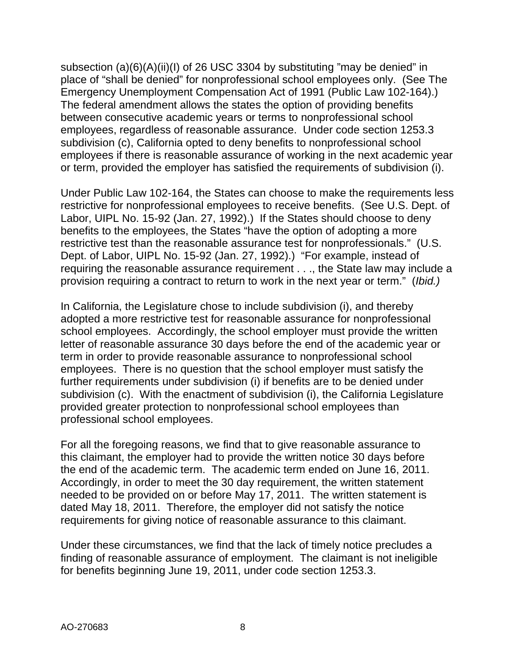subsection (a)(6)(A)(ii)(I) of 26 USC 3304 by substituting "may be denied" in place of "shall be denied" for nonprofessional school employees only. (See The Emergency Unemployment Compensation Act of 1991 (Public Law 102-164).) The federal amendment allows the states the option of providing benefits between consecutive academic years or terms to nonprofessional school employees, regardless of reasonable assurance. Under code section 1253.3 subdivision (c), California opted to deny benefits to nonprofessional school employees if there is reasonable assurance of working in the next academic year or term, provided the employer has satisfied the requirements of subdivision (i).

Under Public Law 102-164, the States can choose to make the requirements less restrictive for nonprofessional employees to receive benefits. (See U.S. Dept. of Labor, UIPL No. 15-92 (Jan. 27, 1992).) If the States should choose to deny benefits to the employees, the States "have the option of adopting a more restrictive test than the reasonable assurance test for nonprofessionals." (U.S. Dept. of Labor, UIPL No. 15-92 (Jan. 27, 1992).) "For example, instead of requiring the reasonable assurance requirement . . ., the State law may include a provision requiring a contract to return to work in the next year or term." (*Ibid.)*

In California, the Legislature chose to include subdivision (i), and thereby adopted a more restrictive test for reasonable assurance for nonprofessional school employees. Accordingly, the school employer must provide the written letter of reasonable assurance 30 days before the end of the academic year or term in order to provide reasonable assurance to nonprofessional school employees. There is no question that the school employer must satisfy the further requirements under subdivision (i) if benefits are to be denied under subdivision (c). With the enactment of subdivision (i), the California Legislature provided greater protection to nonprofessional school employees than professional school employees.

For all the foregoing reasons, we find that to give reasonable assurance to this claimant, the employer had to provide the written notice 30 days before the end of the academic term. The academic term ended on June 16, 2011. Accordingly, in order to meet the 30 day requirement, the written statement needed to be provided on or before May 17, 2011. The written statement is dated May 18, 2011. Therefore, the employer did not satisfy the notice requirements for giving notice of reasonable assurance to this claimant.

Under these circumstances, we find that the lack of timely notice precludes a finding of reasonable assurance of employment. The claimant is not ineligible for benefits beginning June 19, 2011, under code section 1253.3.